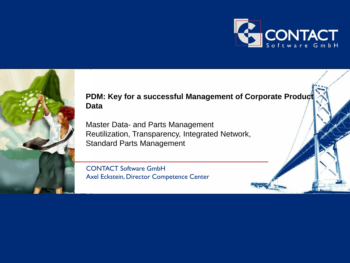



### **PDM: Key for a successful Management of Corporate Productionally Data**

Master Data- and Parts Management Reutilization, Transparency, Integrated Network, Standard Parts Management

CONTACT Software GmbH Axel Eckstein, Director Competence Center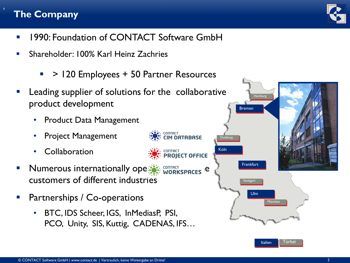# **The Company**

s

- **1990: Foundation of CONTACT Software GmbH**
- Shareholder: 100% Karl Heinz Zachries
	- $\blacksquare$  > 120 Employees + 50 Partner Resources
- Leading supplier of solutions for the collaborative product development
	- Product Data Management
	- Project Management
	- **Collaboration**
- Numerous internationally operation workspaces le customers of different industries
- Partnerships / Co-operations
	- BTC, IDS Scheer, IGS, InMediasP, PSI, PCO, Unity, SIS, Kuttig, CADENAS, IFS…



**Hamburg** 

Bremen

**Frankfurt** 

**Stuttgart** 

Ulm

München

Italien I Türkei

Köln

Duisburg

**DATABASE** 

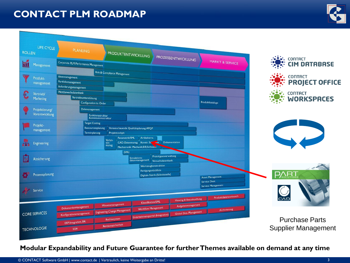## **CONTACT PLM ROADMAP**





#### **Modular Expandability and Future Guarantee for further Themes available on demand at any time**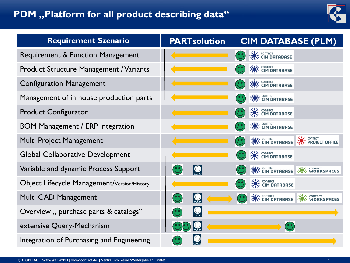## **PDM** ,, Platform for all product describing data"



| <b>Requirement Szenario</b>                    | <b>PARTsolution</b> | <b>CIM DATABASE (PLM)</b>                                                                 |
|------------------------------------------------|---------------------|-------------------------------------------------------------------------------------------|
| Requirement & Function Management              |                     | <b>SEX: CONTRCT</b><br><b>CONTRIBUSE</b>                                                  |
| <b>Product Structure Management / Variants</b> |                     | <b>CONTRACT SOLUTION CONTRIBUTE</b>                                                       |
| <b>Configuration Management</b>                |                     | <b>SAN CONTRICT</b><br><b>CONTRIGUES</b>                                                  |
| Management of in house production parts        |                     | <b>CONTROL</b><br><b>CONTRIGUES</b>                                                       |
| <b>Product Configurator</b>                    |                     | <b>SAN CONTRCT</b><br><b>CONTRIGUES</b>                                                   |
| <b>BOM Management / ERP Integration</b>        |                     | <b>CONTRACT SOLUTION CONTRIBUTE</b>                                                       |
| Multi Project Management                       |                     | <b>READ CONTRCT</b><br><b>READ PROJECT OFFICE</b><br><b>CONTRCT SOLUTION CONTRACTS</b>    |
| <b>Global Collaborative Development</b>        |                     | <b>CONTRACT SOLUTION CONTRIBUTE</b>                                                       |
| Variable and dynamic Process Support           |                     | <b>CONTRICT</b><br><b>COMPASSEM</b><br><b>NAME CONTROL</b><br><b>CONTROL WORKSPACES</b>   |
| Object Lifecycle Management/Version/History    |                     | <b>ONE CONTROL</b><br><b>CONTRIGUES</b>                                                   |
| Multi CAD Management                           |                     | <b>SANCE CONTRCT</b><br><b>CONTROL</b> WORKSPACES<br><b>CONTRICT</b><br><b>CONTRIGUES</b> |
| Overview, purchase parts & catalogs"           |                     |                                                                                           |
| extensive Query-Mechanism                      |                     |                                                                                           |
| Integration of Purchasing and Engineering      |                     |                                                                                           |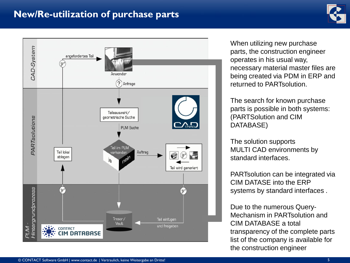## **New/Re-utilization of purchase parts**





When utilizing new purchase parts, the construction engineer operates in his usual way, necessary material master files are being created via PDM in ERP and returned to PARTsolution.

The search for known purchase parts is possible in both systems: (PARTSolution and CIM DATABASE)

The solution supports MULTI CAD environments by standard interfaces.

PARTsolution can be integrated via CIM DATASE into the ERP systems by standard interfaces .

Due to the numerous Query-Mechanism in PARTsolution and CIM DATABASE a total transparency of the complete parts list of the company is available for the construction engineer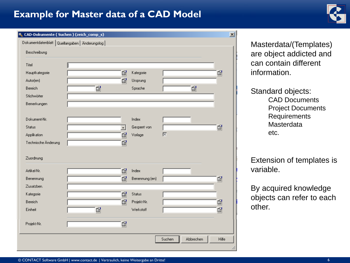## **Example for Master data of a CAD Model**



| Dokumentdatenblatt   Quellangaben   Änderungslog |    |         |                |   |   |    |
|--------------------------------------------------|----|---------|----------------|---|---|----|
| Beschreibung                                     |    |         |                |   |   |    |
| Titel                                            |    |         |                |   |   |    |
| Hauptkategorie                                   |    | ▧       | Kategorie      |   |   | ß  |
| Autor(en)                                        |    | ßi      | Ursprung       |   |   |    |
| Bereich                                          | ßi |         | Sprache        |   | ß |    |
| Stichwörter                                      |    |         |                |   |   |    |
| Bemerkungen                                      |    |         |                |   |   |    |
|                                                  |    |         |                |   |   |    |
| Dokument-Nr.                                     |    |         | Index          |   |   |    |
| Status                                           |    | $\vert$ | Gesperrt von   |   |   | ßi |
| Applikation                                      |    | ßi      | Vorlage        | 区 |   |    |
| Technische Änderung                              |    | ▧       |                |   |   |    |
|                                                  |    |         |                |   |   |    |
| Zuordnung                                        |    |         |                |   |   |    |
| Artikel-Nr.                                      |    | ▧       | Index          |   |   |    |
| Benennung                                        |    | ßi      | Benennung (en) |   |   | ßi |
| Zusatzben.                                       |    |         |                |   |   |    |
| Kategorie                                        |    | ßi      | Status         |   |   |    |
| Bereich                                          |    | ßi      | Projekt-Nr.    |   |   | ßi |
|                                                  | ß  |         | Werkstoff      |   |   | ▧  |
| Einheit                                          |    |         |                |   |   |    |
|                                                  |    |         |                |   |   |    |
| Projekt-Nr.                                      |    | ß       |                |   |   |    |

Masterdata/(Templates) are object addicted and can contain different information.

Standard objects: CAD Documents Project Documents Requirements **Masterdata** etc.

Extension of templates is variable.

By acquired knowledge objects can refer to each other.